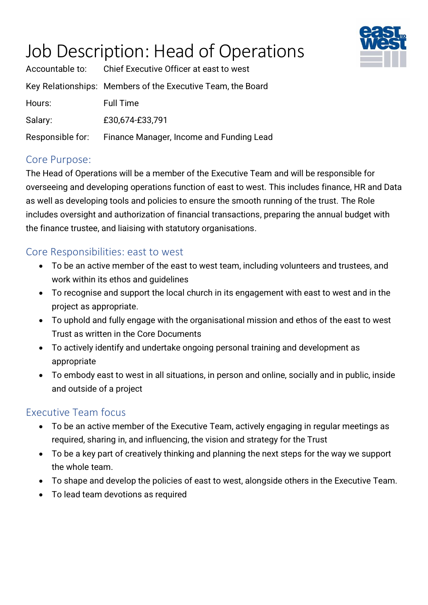# Job Description: Head of Operations



|                  | Accountable to: Chief Executive Officer at east to west     |
|------------------|-------------------------------------------------------------|
|                  | Key Relationships: Members of the Executive Team, the Board |
| Hours:           | <b>Full Time</b>                                            |
| Salary:          | £30,674-£33,791                                             |
| Responsible for: | Finance Manager, Income and Funding Lead                    |

### Core Purpose:

The Head of Operations will be a member of the Executive Team and will be responsible for overseeing and developing operations function of east to west. This includes finance, HR and Data as well as developing tools and policies to ensure the smooth running of the trust. The Role includes oversight and authorization of financial transactions, preparing the annual budget with the finance trustee, and liaising with statutory organisations.

### Core Responsibilities: east to west

- To be an active member of the east to west team, including volunteers and trustees, and work within its ethos and guidelines
- To recognise and support the local church in its engagement with east to west and in the project as appropriate.
- To uphold and fully engage with the organisational mission and ethos of the east to west Trust as written in the Core Documents
- To actively identify and undertake ongoing personal training and development as appropriate
- To embody east to west in all situations, in person and online, socially and in public, inside and outside of a project

### Executive Team focus

- To be an active member of the Executive Team, actively engaging in regular meetings as required, sharing in, and influencing, the vision and strategy for the Trust
- To be a key part of creatively thinking and planning the next steps for the way we support the whole team.
- To shape and develop the policies of east to west, alongside others in the Executive Team.
- To lead team devotions as required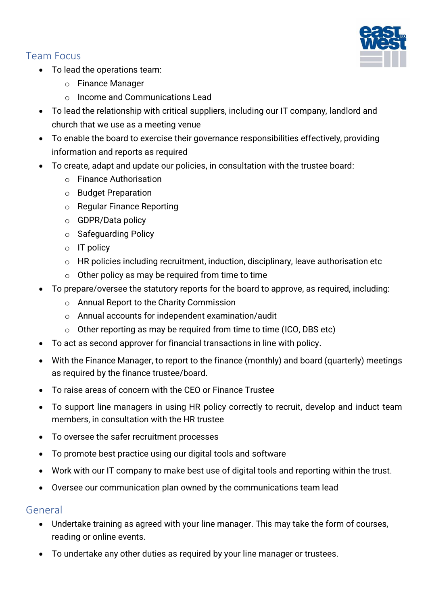## Team Focus

- To lead the operations team:
	- o Finance Manager
	- o Income and Communications Lead
- To lead the relationship with critical suppliers, including our IT company, landlord and church that we use as a meeting venue
- To enable the board to exercise their governance responsibilities effectively, providing information and reports as required
- To create, adapt and update our policies, in consultation with the trustee board:
	- o Finance Authorisation
	- o Budget Preparation
	- o Regular Finance Reporting
	- o GDPR/Data policy
	- o Safeguarding Policy
	- $\circ$  IT policy
	- o HR policies including recruitment, induction, disciplinary, leave authorisation etc
	- $\circ$  Other policy as may be required from time to time
- To prepare/oversee the statutory reports for the board to approve, as required, including:
	- o Annual Report to the Charity Commission
	- o Annual accounts for independent examination/audit
	- $\circ$  Other reporting as may be required from time to time (ICO, DBS etc)
- To act as second approver for financial transactions in line with policy.
- With the Finance Manager, to report to the finance (monthly) and board (quarterly) meetings as required by the finance trustee/board.
- To raise areas of concern with the CEO or Finance Trustee
- To support line managers in using HR policy correctly to recruit, develop and induct team members, in consultation with the HR trustee
- To oversee the safer recruitment processes
- To promote best practice using our digital tools and software
- Work with our IT company to make best use of digital tools and reporting within the trust.
- Oversee our communication plan owned by the communications team lead

### General

- Undertake training as agreed with your line manager. This may take the form of courses, reading or online events.
- To undertake any other duties as required by your line manager or trustees.